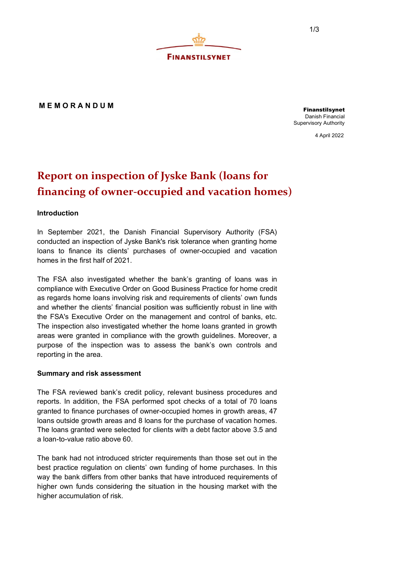

## **M E M O R A N D U M**

Finanstilsynet Danish Financial Supervisory Authority

4 April 2022

## **Report on inspection of Jyske Bank (loans for financing of owner-occupied and vacation homes)**

## **Introduction**

In September 2021, the Danish Financial Supervisory Authority (FSA) conducted an inspection of Jyske Bank's risk tolerance when granting home loans to finance its clients' purchases of owner-occupied and vacation homes in the first half of 2021.

The FSA also investigated whether the bank's granting of loans was in compliance with Executive Order on Good Business Practice for home credit as regards home loans involving risk and requirements of clients' own funds and whether the clients' financial position was sufficiently robust in line with the FSA's Executive Order on the management and control of banks, etc. The inspection also investigated whether the home loans granted in growth areas were granted in compliance with the growth guidelines. Moreover, a purpose of the inspection was to assess the bank's own controls and reporting in the area.

## **Summary and risk assessment**

The FSA reviewed bank's credit policy, relevant business procedures and reports. In addition, the FSA performed spot checks of a total of 70 loans granted to finance purchases of owner-occupied homes in growth areas, 47 loans outside growth areas and 8 loans for the purchase of vacation homes. The loans granted were selected for clients with a debt factor above 3.5 and a loan-to-value ratio above 60.

The bank had not introduced stricter requirements than those set out in the best practice regulation on clients' own funding of home purchases. In this way the bank differs from other banks that have introduced requirements of higher own funds considering the situation in the housing market with the higher accumulation of risk.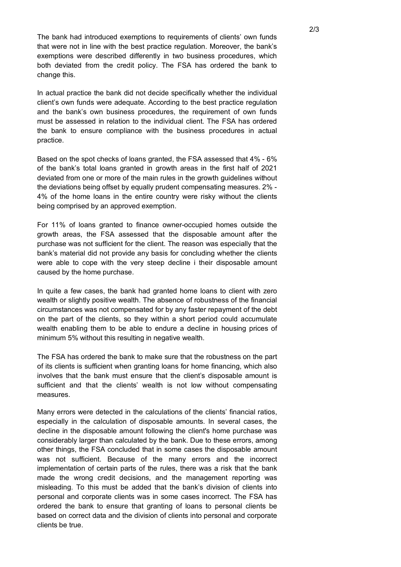The bank had introduced exemptions to requirements of clients' own funds that were not in line with the best practice regulation. Moreover, the bank's exemptions were described differently in two business procedures, which both deviated from the credit policy. The FSA has ordered the bank to change this.

In actual practice the bank did not decide specifically whether the individual client's own funds were adequate. According to the best practice regulation and the bank's own business procedures, the requirement of own funds must be assessed in relation to the individual client. The FSA has ordered the bank to ensure compliance with the business procedures in actual practice.

Based on the spot checks of loans granted, the FSA assessed that 4% - 6% of the bank's total loans granted in growth areas in the first half of 2021 deviated from one or more of the main rules in the growth guidelines without the deviations being offset by equally prudent compensating measures. 2% - 4% of the home loans in the entire country were risky without the clients being comprised by an approved exemption.

For 11% of loans granted to finance owner-occupied homes outside the growth areas, the FSA assessed that the disposable amount after the purchase was not sufficient for the client. The reason was especially that the bank's material did not provide any basis for concluding whether the clients were able to cope with the very steep decline i their disposable amount caused by the home purchase.

In quite a few cases, the bank had granted home loans to client with zero wealth or slightly positive wealth. The absence of robustness of the financial circumstances was not compensated for by any faster repayment of the debt on the part of the clients, so they within a short period could accumulate wealth enabling them to be able to endure a decline in housing prices of minimum 5% without this resulting in negative wealth.

The FSA has ordered the bank to make sure that the robustness on the part of its clients is sufficient when granting loans for home financing, which also involves that the bank must ensure that the client's disposable amount is sufficient and that the clients' wealth is not low without compensating measures.

Many errors were detected in the calculations of the clients' financial ratios, especially in the calculation of disposable amounts. In several cases, the decline in the disposable amount following the client's home purchase was considerably larger than calculated by the bank. Due to these errors, among other things, the FSA concluded that in some cases the disposable amount was not sufficient. Because of the many errors and the incorrect implementation of certain parts of the rules, there was a risk that the bank made the wrong credit decisions, and the management reporting was misleading. To this must be added that the bank's division of clients into personal and corporate clients was in some cases incorrect. The FSA has ordered the bank to ensure that granting of loans to personal clients be based on correct data and the division of clients into personal and corporate clients be true.